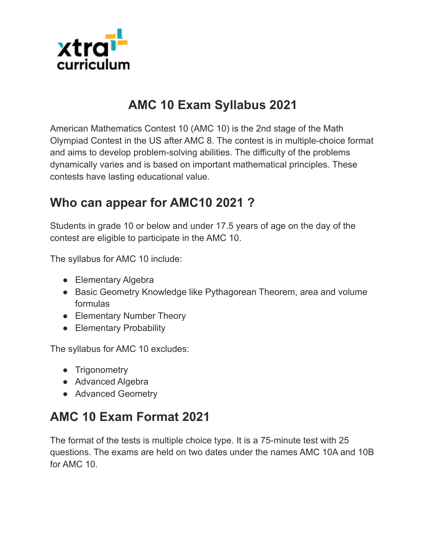

#### **AMC 10 Exam Syllabus 2021**

American Mathematics Contest 10 (AMC 10) is the 2nd stage of the Math Olympiad Contest in the US after AMC 8. The contest is in multiple-choice format and aims to develop problem-solving abilities. The difficulty of the problems dynamically varies and is based on important mathematical principles. These contests have lasting educational value.

#### **Who can appear for AMC10 2021 ?**

Students in grade 10 or below and under 17.5 years of age on the day of the contest are eligible to participate in the AMC 10.

The syllabus for AMC 10 include:

- Elementary Algebra
- Basic Geometry Knowledge like Pythagorean Theorem, area and volume formulas
- Elementary Number Theory
- Elementary Probability

The syllabus for AMC 10 excludes:

- Trigonometry
- Advanced Algebra
- Advanced Geometry

# **AMC 10 Exam Format 2021**

The format of the tests is multiple choice type. It is a 75-minute test with 25 questions. The exams are held on two dates under the names AMC 10A and 10B for AMC 10.